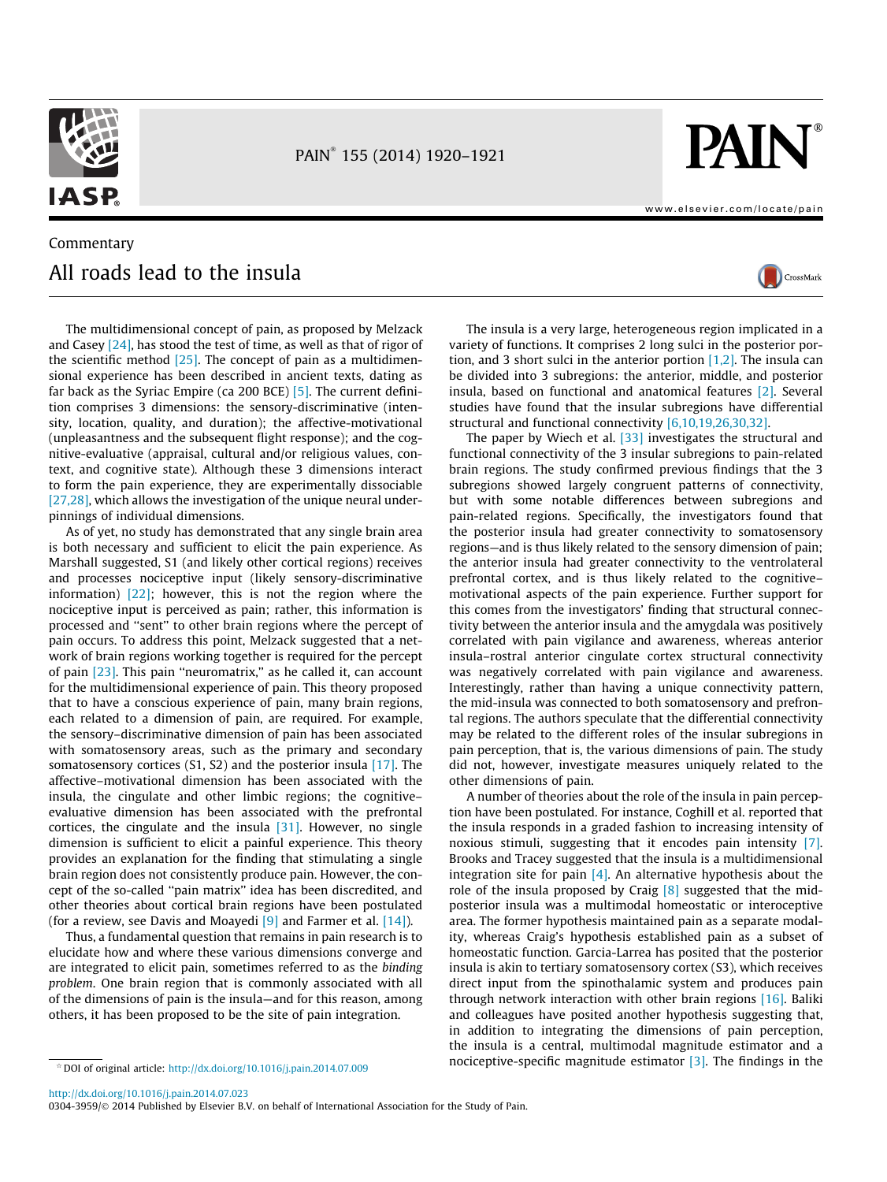

PAIN 155 (2014) 1920–1921



CrossMark

## Commentary All roads lead to the insula

The multidimensional concept of pain, as proposed by Melzack and Casey [\[24\]](#page-1-0), has stood the test of time, as well as that of rigor of the scientific method  $[25]$ . The concept of pain as a multidimensional experience has been described in ancient texts, dating as far back as the Syriac Empire (ca 200 BCE) [\[5\]](#page-1-0). The current definition comprises 3 dimensions: the sensory-discriminative (intensity, location, quality, and duration); the affective-motivational (unpleasantness and the subsequent flight response); and the cognitive-evaluative (appraisal, cultural and/or religious values, context, and cognitive state). Although these 3 dimensions interact to form the pain experience, they are experimentally dissociable [\[27,28\],](#page-1-0) which allows the investigation of the unique neural underpinnings of individual dimensions.

As of yet, no study has demonstrated that any single brain area is both necessary and sufficient to elicit the pain experience. As Marshall suggested, S1 (and likely other cortical regions) receives and processes nociceptive input (likely sensory-discriminative information)  $[22]$ ; however, this is not the region where the nociceptive input is perceived as pain; rather, this information is processed and ''sent'' to other brain regions where the percept of pain occurs. To address this point, Melzack suggested that a network of brain regions working together is required for the percept of pain [\[23\].](#page-1-0) This pain ''neuromatrix,'' as he called it, can account for the multidimensional experience of pain. This theory proposed that to have a conscious experience of pain, many brain regions, each related to a dimension of pain, are required. For example, the sensory–discriminative dimension of pain has been associated with somatosensory areas, such as the primary and secondary somatosensory cortices  $(S1, S2)$  and the posterior insula  $[17]$ . The affective–motivational dimension has been associated with the insula, the cingulate and other limbic regions; the cognitive– evaluative dimension has been associated with the prefrontal cortices, the cingulate and the insula [\[31\]](#page-1-0). However, no single dimension is sufficient to elicit a painful experience. This theory provides an explanation for the finding that stimulating a single brain region does not consistently produce pain. However, the concept of the so-called ''pain matrix'' idea has been discredited, and other theories about cortical brain regions have been postulated (for a review, see Davis and Moayedi  $[9]$  and Farmer et al. [\[14\]\)](#page-1-0).

Thus, a fundamental question that remains in pain research is to elucidate how and where these various dimensions converge and are integrated to elicit pain, sometimes referred to as the binding problem. One brain region that is commonly associated with all of the dimensions of pain is the insula—and for this reason, among others, it has been proposed to be the site of pain integration.

The insula is a very large, heterogeneous region implicated in a variety of functions. It comprises 2 long sulci in the posterior portion, and 3 short sulci in the anterior portion  $[1,2]$ . The insula can be divided into 3 subregions: the anterior, middle, and posterior

structural and functional connectivity [\[6,10,19,26,30,32\].](#page-1-0) The paper by Wiech et al. [\[33\]](#page-1-0) investigates the structural and functional connectivity of the 3 insular subregions to pain-related brain regions. The study confirmed previous findings that the 3 subregions showed largely congruent patterns of connectivity, but with some notable differences between subregions and pain-related regions. Specifically, the investigators found that the posterior insula had greater connectivity to somatosensory regions—and is thus likely related to the sensory dimension of pain; the anterior insula had greater connectivity to the ventrolateral prefrontal cortex, and is thus likely related to the cognitive– motivational aspects of the pain experience. Further support for this comes from the investigators' finding that structural connectivity between the anterior insula and the amygdala was positively correlated with pain vigilance and awareness, whereas anterior insula–rostral anterior cingulate cortex structural connectivity was negatively correlated with pain vigilance and awareness. Interestingly, rather than having a unique connectivity pattern, the mid-insula was connected to both somatosensory and prefrontal regions. The authors speculate that the differential connectivity may be related to the different roles of the insular subregions in pain perception, that is, the various dimensions of pain. The study did not, however, investigate measures uniquely related to the other dimensions of pain.

insula, based on functional and anatomical features [\[2\].](#page-1-0) Several studies have found that the insular subregions have differential

A number of theories about the role of the insula in pain perception have been postulated. For instance, Coghill et al. reported that the insula responds in a graded fashion to increasing intensity of noxious stimuli, suggesting that it encodes pain intensity [\[7\].](#page-1-0) Brooks and Tracey suggested that the insula is a multidimensional integration site for pain  $[4]$ . An alternative hypothesis about the role of the insula proposed by Craig  $[8]$  suggested that the midposterior insula was a multimodal homeostatic or interoceptive area. The former hypothesis maintained pain as a separate modality, whereas Craig's hypothesis established pain as a subset of homeostatic function. Garcia-Larrea has posited that the posterior insula is akin to tertiary somatosensory cortex (S3), which receives direct input from the spinothalamic system and produces pain through network interaction with other brain regions [\[16\].](#page-1-0) Baliki and colleagues have posited another hypothesis suggesting that, in addition to integrating the dimensions of pain perception, the insula is a central, multimodal magnitude estimator and a nociceptive-specific magnitude estimator  $[3]$ . The findings in the

 $*$  DOI of original article: <http://dx.doi.org/10.1016/j.pain.2014.07.009>

<sup>0304-3959/© 2014</sup> Published by Elsevier B.V. on behalf of International Association for the Study of Pain.